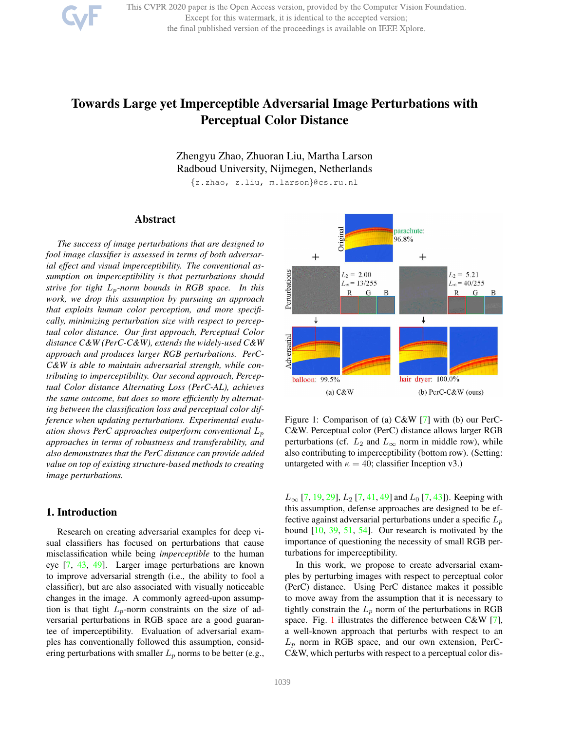

This CVPR 2020 paper is the Open Access version, provided by the Computer Vision Foundation. Except for this watermark, it is identical to the accepted version; the final published version of the proceedings is available on IEEE Xplore.

# Towards Large yet Imperceptible Adversarial Image Perturbations with Perceptual Color Distance

Zhengyu Zhao, Zhuoran Liu, Martha Larson Radboud University, Nijmegen, Netherlands

{z.zhao, z.liu, m.larson}@cs.ru.nl

# Abstract

*The success of image perturbations that are designed to fool image classifier is assessed in terms of both adversarial effect and visual imperceptibility. The conventional assumption on imperceptibility is that perturbations should strive for tight* Lp*-norm bounds in RGB space. In this work, we drop this assumption by pursuing an approach that exploits human color perception, and more specifically, minimizing perturbation size with respect to perceptual color distance. Our first approach, Perceptual Color distance C&W (PerC-C&W), extends the widely-used C&W approach and produces larger RGB perturbations. PerC-C&W is able to maintain adversarial strength, while contributing to imperceptibility. Our second approach, Perceptual Color distance Alternating Loss (PerC-AL), achieves the same outcome, but does so more efficiently by alternating between the classification loss and perceptual color difference when updating perturbations. Experimental evaluation shows PerC approaches outperform conventional* L<sup>p</sup> *approaches in terms of robustness and transferability, and also demonstrates that the PerC distance can provide added value on top of existing structure-based methods to creating image perturbations.*

# 1. Introduction

Research on creating adversarial examples for deep visual classifiers has focused on perturbations that cause misclassification while being *imperceptible* to the human eye [7, 43, 49]. Larger image perturbations are known to improve adversarial strength (i.e., the ability to fool a classifier), but are also associated with visually noticeable changes in the image. A commonly agreed-upon assumption is that tight  $L_p$ -norm constraints on the size of adversarial perturbations in RGB space are a good guarantee of imperceptibility. Evaluation of adversarial examples has conventionally followed this assumption, considering perturbations with smaller  $L_p$  norms to be better (e.g.,



Figure 1: Comparison of (a) C&W [7] with (b) our PerC-C&W. Perceptual color (PerC) distance allows larger RGB perturbations (cf.  $L_2$  and  $L_{\infty}$  norm in middle row), while also contributing to imperceptibility (bottom row). (Setting: untargeted with  $\kappa = 40$ ; classifier Inception v3.)

 $L_{\infty}$  [7, 19, 29],  $L_2$  [7, 41, 49] and  $L_0$  [7, 43]). Keeping with this assumption, defense approaches are designed to be effective against adversarial perturbations under a specific  $L_p$ bound [10, 39, 51, 54]. Our research is motivated by the importance of questioning the necessity of small RGB perturbations for imperceptibility.

In this work, we propose to create adversarial examples by perturbing images with respect to perceptual color (PerC) distance. Using PerC distance makes it possible to move away from the assumption that it is necessary to tightly constrain the  $L_p$  norm of the perturbations in RGB space. Fig. 1 illustrates the difference between C&W [7], a well-known approach that perturbs with respect to an  $L_p$  norm in RGB space, and our own extension, PerC-C&W, which perturbs with respect to a perceptual color dis-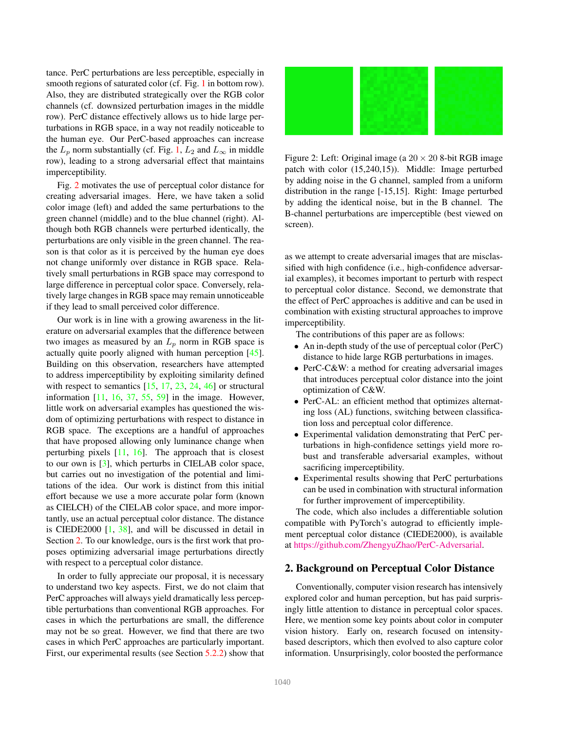tance. PerC perturbations are less perceptible, especially in smooth regions of saturated color (cf. Fig. 1 in bottom row). Also, they are distributed strategically over the RGB color channels (cf. downsized perturbation images in the middle row). PerC distance effectively allows us to hide large perturbations in RGB space, in a way not readily noticeable to the human eye. Our PerC-based approaches can increase the  $L_p$  norm substantially (cf. Fig. 1,  $L_2$  and  $L_{\infty}$  in middle row), leading to a strong adversarial effect that maintains imperceptibility.

Fig. 2 motivates the use of perceptual color distance for creating adversarial images. Here, we have taken a solid color image (left) and added the same perturbations to the green channel (middle) and to the blue channel (right). Although both RGB channels were perturbed identically, the perturbations are only visible in the green channel. The reason is that color as it is perceived by the human eye does not change uniformly over distance in RGB space. Relatively small perturbations in RGB space may correspond to large difference in perceptual color space. Conversely, relatively large changes in RGB space may remain unnoticeable if they lead to small perceived color difference.

Our work is in line with a growing awareness in the literature on adversarial examples that the difference between two images as measured by an  $L_p$  norm in RGB space is actually quite poorly aligned with human perception [45]. Building on this observation, researchers have attempted to address imperceptibility by exploiting similarity defined with respect to semantics  $[15, 17, 23, 24, 46]$  or structural information  $[11, 16, 37, 55, 59]$  in the image. However, little work on adversarial examples has questioned the wisdom of optimizing perturbations with respect to distance in RGB space. The exceptions are a handful of approaches that have proposed allowing only luminance change when perturbing pixels  $[11, 16]$ . The approach that is closest to our own is [3], which perturbs in CIELAB color space, but carries out no investigation of the potential and limitations of the idea. Our work is distinct from this initial effort because we use a more accurate polar form (known as CIELCH) of the CIELAB color space, and more importantly, use an actual perceptual color distance. The distance is CIEDE2000 [1, 38], and will be discussed in detail in Section 2. To our knowledge, ours is the first work that proposes optimizing adversarial image perturbations directly with respect to a perceptual color distance.

In order to fully appreciate our proposal, it is necessary to understand two key aspects. First, we do not claim that PerC approaches will always yield dramatically less perceptible perturbations than conventional RGB approaches. For cases in which the perturbations are small, the difference may not be so great. However, we find that there are two cases in which PerC approaches are particularly important. First, our experimental results (see Section 5.2.2) show that



Figure 2: Left: Original image (a  $20 \times 20$  8-bit RGB image patch with color (15,240,15)). Middle: Image perturbed by adding noise in the G channel, sampled from a uniform distribution in the range [-15,15]. Right: Image perturbed by adding the identical noise, but in the B channel. The B-channel perturbations are imperceptible (best viewed on screen).

as we attempt to create adversarial images that are misclassified with high confidence (i.e., high-confidence adversarial examples), it becomes important to perturb with respect to perceptual color distance. Second, we demonstrate that the effect of PerC approaches is additive and can be used in combination with existing structural approaches to improve imperceptibility.

The contributions of this paper are as follows:

- An in-depth study of the use of perceptual color (PerC) distance to hide large RGB perturbations in images.
- PerC-C&W: a method for creating adversarial images that introduces perceptual color distance into the joint optimization of C&W.
- PerC-AL: an efficient method that optimizes alternating loss (AL) functions, switching between classification loss and perceptual color difference.
- Experimental validation demonstrating that PerC perturbations in high-confidence settings yield more robust and transferable adversarial examples, without sacrificing imperceptibility.
- Experimental results showing that PerC perturbations can be used in combination with structural information for further improvement of imperceptibility.

The code, which also includes a differentiable solution compatible with PyTorch's autograd to efficiently implement perceptual color distance (CIEDE2000), is available at https://github.com/ZhengyuZhao/PerC-Adversarial.

# 2. Background on Perceptual Color Distance

Conventionally, computer vision research has intensively explored color and human perception, but has paid surprisingly little attention to distance in perceptual color spaces. Here, we mention some key points about color in computer vision history. Early on, research focused on intensitybased descriptors, which then evolved to also capture color information. Unsurprisingly, color boosted the performance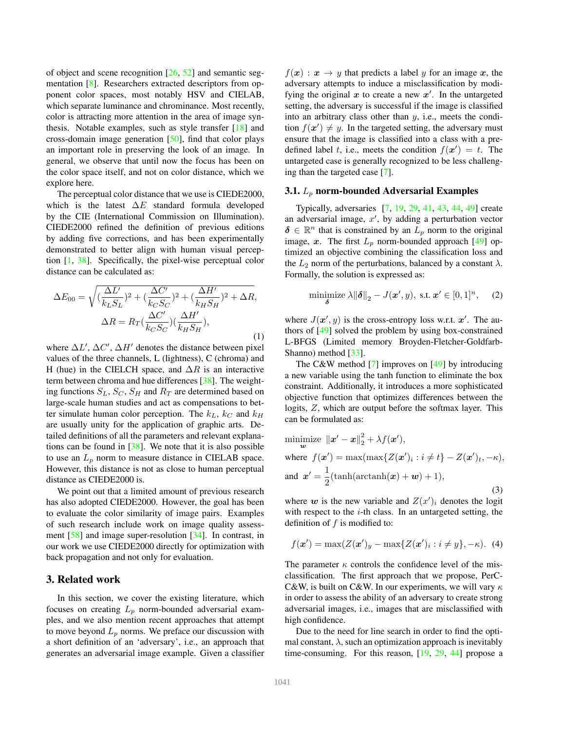of object and scene recognition  $[26, 52]$  and semantic segmentation [8]. Researchers extracted descriptors from opponent color spaces, most notably HSV and CIELAB, which separate luminance and chrominance. Most recently, color is attracting more attention in the area of image synthesis. Notable examples, such as style transfer [18] and cross-domain image generation [50], find that color plays an important role in preserving the look of an image. In general, we observe that until now the focus has been on the color space itself, and not on color distance, which we explore here.

The perceptual color distance that we use is CIEDE2000, which is the latest  $\Delta E$  standard formula developed by the CIE (International Commission on Illumination). CIEDE2000 refined the definition of previous editions by adding five corrections, and has been experimentally demonstrated to better align with human visual perception [1, 38]. Specifically, the pixel-wise perceptual color distance can be calculated as:

$$
\Delta E_{00} = \sqrt{\left(\frac{\Delta L'}{k_L S_L}\right)^2 + \left(\frac{\Delta C'}{k_C S_C}\right)^2 + \left(\frac{\Delta H'}{k_H S_H}\right)^2 + \Delta R},
$$
  

$$
\Delta R = R_T \left(\frac{\Delta C'}{k_C S_C}\right) \left(\frac{\Delta H'}{k_H S_H}\right),
$$
 (1)

where  $\Delta L'$ ,  $\Delta C'$ ,  $\Delta H'$  denotes the distance between pixel values of the three channels, L (lightness), C (chroma) and H (hue) in the CIELCH space, and  $\Delta R$  is an interactive term between chroma and hue differences [38]. The weighting functions  $S_L$ ,  $S_C$ ,  $S_H$  and  $R_T$  are determined based on large-scale human studies and act as compensations to better simulate human color perception. The  $k_L$ ,  $k_C$  and  $k_H$ are usually unity for the application of graphic arts. Detailed definitions of all the parameters and relevant explanations can be found in  $[38]$ . We note that it is also possible to use an  $L_p$  norm to measure distance in CIELAB space. However, this distance is not as close to human perceptual distance as CIEDE2000 is.

We point out that a limited amount of previous research has also adopted CIEDE2000. However, the goal has been to evaluate the color similarity of image pairs. Examples of such research include work on image quality assessment [58] and image super-resolution [34]. In contrast, in our work we use CIEDE2000 directly for optimization with back propagation and not only for evaluation.

## 3. Related work

In this section, we cover the existing literature, which focuses on creating  $L_p$  norm-bounded adversarial examples, and we also mention recent approaches that attempt to move beyond  $L_p$  norms. We preface our discussion with a short definition of an 'adversary', i.e., an approach that generates an adversarial image example. Given a classifier  $f(x)$ :  $x \to y$  that predicts a label y for an image x, the adversary attempts to induce a misclassification by modifying the original  $x$  to create a new  $x'$ . In the untargeted setting, the adversary is successful if the image is classified into an arbitrary class other than  $y$ , i.e., meets the condition  $f(x') \neq y$ . In the targeted setting, the adversary must ensure that the image is classified into a class with a predefined label t, i.e., meets the condition  $f(x') = t$ . The untargeted case is generally recognized to be less challenging than the targeted case [7].

#### 3.1.  $L_p$  norm-bounded Adversarial Examples

Typically, adversaries [7, 19, 29, 41, 43, 44, 49] create an adversarial image,  $x'$ , by adding a perturbation vector  $\delta \in \mathbb{R}^n$  that is constrained by an  $L_p$  norm to the original image, x. The first  $L_p$  norm-bounded approach [49] optimized an objective combining the classification loss and the  $L_2$  norm of the perturbations, balanced by a constant  $\lambda$ . Formally, the solution is expressed as:

minimize 
$$
\lambda \|\boldsymbol{\delta}\|_2 - J(\boldsymbol{x}', y)
$$
, s.t.  $\boldsymbol{x}' \in [0, 1]^n$ , (2)

where  $J(\mathbf{x}', y)$  is the cross-entropy loss w.r.t.  $\mathbf{x}'$ . The authors of [49] solved the problem by using box-constrained L-BFGS (Limited memory Broyden-Fletcher-Goldfarb-Shanno) method [33].

The C&W method [7] improves on [49] by introducing a new variable using the tanh function to eliminate the box constraint. Additionally, it introduces a more sophisticated objective function that optimizes differences between the logits, Z, which are output before the softmax layer. This can be formulated as:

$$
\begin{aligned}\n\text{minimize } & \|\mathbf{x}' - \mathbf{x}\|_2^2 + \lambda f(\mathbf{x}'), \\
\text{where } & f(\mathbf{x}') = \max(\max\{Z(\mathbf{x}')_i : i \neq t\} - Z(\mathbf{x}')_t, -\kappa), \\
\text{and } & \mathbf{x}' = \frac{1}{2}(\tanh(\operatorname{arctanh}(\mathbf{x}) + \mathbf{w}) + 1),\n\end{aligned} \tag{3}
$$

where w is the new variable and  $Z(x')_i$  denotes the logit with respect to the  $i$ -th class. In an untargeted setting, the definition of  $f$  is modified to:

$$
f(\mathbf{x}') = \max(Z(\mathbf{x}')_y - \max\{Z(\mathbf{x}')_i : i \neq y\}, -\kappa). \tag{4}
$$

The parameter  $\kappa$  controls the confidence level of the misclassification. The first approach that we propose, PerC-C&W, is built on C&W. In our experiments, we will vary  $\kappa$ in order to assess the ability of an adversary to create strong adversarial images, i.e., images that are misclassified with high confidence.

Due to the need for line search in order to find the optimal constant,  $\lambda$ , such an optimization approach is inevitably time-consuming. For this reason, [19, 29, 44] propose a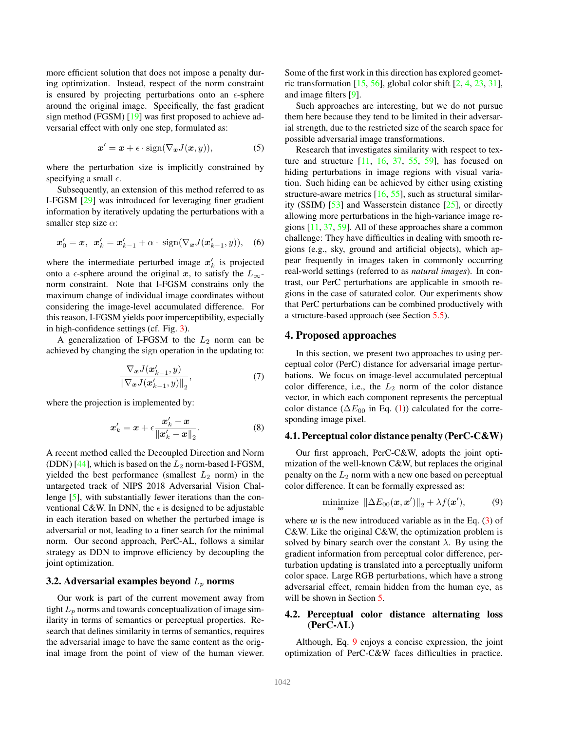more efficient solution that does not impose a penalty during optimization. Instead, respect of the norm constraint is ensured by projecting perturbations onto an  $\epsilon$ -sphere around the original image. Specifically, the fast gradient sign method (FGSM) [19] was first proposed to achieve adversarial effect with only one step, formulated as:

$$
x' = x + \epsilon \cdot \text{sign}(\nabla_x J(x, y)), \tag{5}
$$

where the perturbation size is implicitly constrained by specifying a small  $\epsilon$ .

Subsequently, an extension of this method referred to as I-FGSM [29] was introduced for leveraging finer gradient information by iteratively updating the perturbations with a smaller step size  $\alpha$ :

$$
\mathbf{x}'_0 = \mathbf{x}, \ \mathbf{x}'_k = \mathbf{x}'_{k-1} + \alpha \cdot \text{sign}(\nabla_{\mathbf{x}} J(\mathbf{x}'_{k-1}, y)), \quad (6)
$$

where the intermediate perturbed image  $x'_{k}$  is projected onto a  $\epsilon$ -sphere around the original x, to satisfy the  $L_{\infty}$ norm constraint. Note that I-FGSM constrains only the maximum change of individual image coordinates without considering the image-level accumulated difference. For this reason, I-FGSM yields poor imperceptibility, especially in high-confidence settings (cf. Fig. 3).

A generalization of I-FGSM to the  $L_2$  norm can be achieved by changing the sign operation in the updating to:

$$
\frac{\nabla_{\boldsymbol{x}} J(\boldsymbol{x}'_{k-1}, y)}{\|\nabla_{\boldsymbol{x}} J(\boldsymbol{x}'_{k-1}, y)\|_2},\tag{7}
$$

where the projection is implemented by:

$$
x'_{k} = x + \epsilon \frac{x'_{k} - x}{\|x'_{k} - x\|_{2}}.\tag{8}
$$

A recent method called the Decoupled Direction and Norm (DDN) [44], which is based on the  $L_2$  norm-based I-FGSM, yielded the best performance (smallest  $L_2$  norm) in the untargeted track of NIPS 2018 Adversarial Vision Challenge [5], with substantially fewer iterations than the conventional C&W. In DNN, the  $\epsilon$  is designed to be adjustable in each iteration based on whether the perturbed image is adversarial or not, leading to a finer search for the minimal norm. Our second approach, PerC-AL, follows a similar strategy as DDN to improve efficiency by decoupling the joint optimization.

## 3.2. Adversarial examples beyond  $L_p$  norms

Our work is part of the current movement away from tight  $L_p$  norms and towards conceptualization of image similarity in terms of semantics or perceptual properties. Research that defines similarity in terms of semantics, requires the adversarial image to have the same content as the original image from the point of view of the human viewer. Some of the first work in this direction has explored geometric transformation  $[15, 56]$ , global color shift  $[2, 4, 23, 31]$ , and image filters [9].

Such approaches are interesting, but we do not pursue them here because they tend to be limited in their adversarial strength, due to the restricted size of the search space for possible adversarial image transformations.

Research that investigates similarity with respect to texture and structure  $[11, 16, 37, 55, 59]$ , has focused on hiding perturbations in image regions with visual variation. Such hiding can be achieved by either using existing structure-aware metrics  $[16, 55]$ , such as structural similarity (SSIM) [53] and Wasserstein distance [25], or directly allowing more perturbations in the high-variance image regions [11, 37, 59]. All of these approaches share a common challenge: They have difficulties in dealing with smooth regions (e.g., sky, ground and artificial objects), which appear frequently in images taken in commonly occurring real-world settings (referred to as *natural images*). In contrast, our PerC perturbations are applicable in smooth regions in the case of saturated color. Our experiments show that PerC perturbations can be combined productively with a structure-based approach (see Section 5.5).

#### 4. Proposed approaches

In this section, we present two approaches to using perceptual color (PerC) distance for adversarial image perturbations. We focus on image-level accumulated perceptual color difference, i.e., the  $L_2$  norm of the color distance vector, in which each component represents the perceptual color distance ( $\Delta E_{00}$  in Eq. (1)) calculated for the corresponding image pixel.

## 4.1. Perceptual color distance penalty (PerC-C&W)

Our first approach, PerC-C&W, adopts the joint optimization of the well-known C&W, but replaces the original penalty on the  $L_2$  norm with a new one based on perceptual color difference. It can be formally expressed as:

$$
\underset{\boldsymbol{w}}{\text{minimize}} \ \|\Delta E_{00}(\boldsymbol{x}, \boldsymbol{x}')\|_2 + \lambda f(\boldsymbol{x}'), \tag{9}
$$

where  $w$  is the new introduced variable as in the Eq. (3) of C&W. Like the original C&W, the optimization problem is solved by binary search over the constant  $\lambda$ . By using the gradient information from perceptual color difference, perturbation updating is translated into a perceptually uniform color space. Large RGB perturbations, which have a strong adversarial effect, remain hidden from the human eye, as will be shown in Section 5.

# 4.2. Perceptual color distance alternating loss (PerC-AL)

Although, Eq. 9 enjoys a concise expression, the joint optimization of PerC-C&W faces difficulties in practice.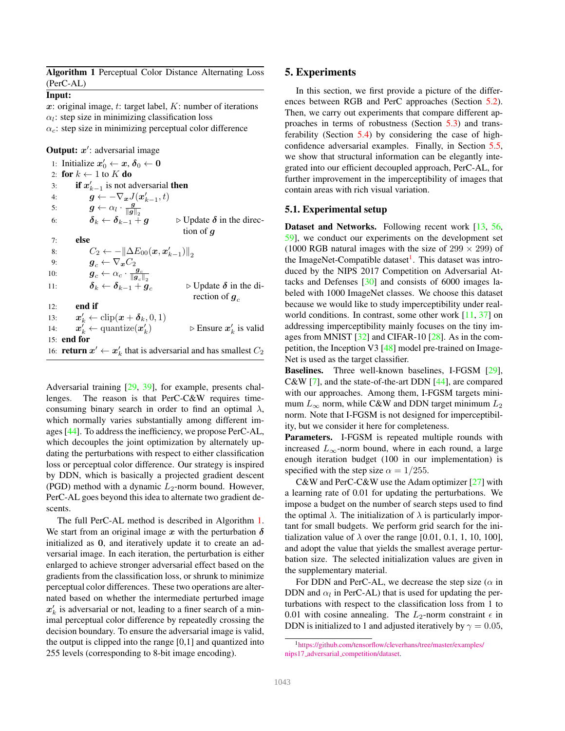|           | Algorithm 1 Perceptual Color Distance Alternating Loss |  |  |
|-----------|--------------------------------------------------------|--|--|
| (PerC-AL) |                                                        |  |  |

## Input:

 $x$ : original image,  $t$ : target label,  $K$ : number of iterations  $\alpha_l$ : step size in minimizing classification loss  $\alpha_c$ : step size in minimizing perceptual color difference

Output: x': adversarial image

1: Initialize  $x'_0 \leftarrow x, \delta_0 \leftarrow 0$ 2: for  $k \leftarrow 1$  to K do 3: **if**  $x'_{k-1}$  is not adversarial **then** 4:  $\qquad \qquad \boldsymbol{g} \leftarrow -\nabla_{\boldsymbol{x}} J(\boldsymbol{x}'_{k-1}, t)$ 5:  $g \leftarrow \alpha_l \cdot \frac{g}{\|g\|_2}$ 6:  $\delta_k \leftarrow \delta_{k-1} + g$   $\Rightarrow$  Update  $\delta$  in the direction of g 7: else 8:  $C_2 \leftarrow -\left\|\Delta E_{00}(\boldsymbol{x}, \boldsymbol{x}'_{k-1})\right\|_2 \notag\ 9: \hspace{1cm} \boldsymbol{g}_c \leftarrow \nabla_{\boldsymbol{x}} C_2$ 10:  $g_c \leftarrow \alpha_c \cdot \frac{g_c}{\|g_c\|}$ 11:  $\delta_k \leftarrow \delta_{k-1} + g_c$   $\triangleright$  Update  $\delta$  in the direction of  $g_c$  $12:$  end if 13:  $\boldsymbol{x}'_k \leftarrow \text{clip}(\boldsymbol{x} + \boldsymbol{\delta}_k, 0, 1)$ 14:  $\boldsymbol{x}'_k \leftarrow \text{quantize}(\boldsymbol{x}'_k)$ ) ⊳ Ensure  $x'_{k}$  is valid 15: end for 16: **return**  $x' \leftarrow x'_k$  that is adversarial and has smallest  $C_2$ 

Adversarial training [29, 39], for example, presents challenges. The reason is that PerC-C&W requires timeconsuming binary search in order to find an optimal  $\lambda$ , which normally varies substantially among different images [44]. To address the inefficiency, we propose PerC-AL, which decouples the joint optimization by alternately updating the perturbations with respect to either classification loss or perceptual color difference. Our strategy is inspired by DDN, which is basically a projected gradient descent (PGD) method with a dynamic  $L_2$ -norm bound. However, PerC-AL goes beyond this idea to alternate two gradient descents.

The full PerC-AL method is described in Algorithm 1. We start from an original image  $x$  with the perturbation  $\delta$ initialized as 0, and iteratively update it to create an adversarial image. In each iteration, the perturbation is either enlarged to achieve stronger adversarial effect based on the gradients from the classification loss, or shrunk to minimize perceptual color differences. These two operations are alternated based on whether the intermediate perturbed image  $x'_k$  is adversarial or not, leading to a finer search of a minimal perceptual color difference by repeatedly crossing the decision boundary. To ensure the adversarial image is valid, the output is clipped into the range [0,1] and quantized into 255 levels (corresponding to 8-bit image encoding).

## 5. Experiments

In this section, we first provide a picture of the differences between RGB and PerC approaches (Section 5.2). Then, we carry out experiments that compare different approaches in terms of robustness (Section 5.3) and transferability (Section 5.4) by considering the case of highconfidence adversarial examples. Finally, in Section 5.5, we show that structural information can be elegantly integrated into our efficient decoupled approach, PerC-AL, for further improvement in the imperceptibility of images that contain areas with rich visual variation.

## 5.1. Experimental setup

Dataset and Networks. Following recent work [13, 56, 59], we conduct our experiments on the development set (1000 RGB natural images with the size of  $299 \times 299$ ) of the ImageNet-Compatible dataset<sup>1</sup>. This dataset was introduced by the NIPS 2017 Competition on Adversarial Attacks and Defenses [30] and consists of 6000 images labeled with 1000 ImageNet classes. We choose this dataset because we would like to study imperceptibility under realworld conditions. In contrast, some other work [11, 37] on addressing imperceptibility mainly focuses on the tiny images from MNIST [32] and CIFAR-10 [28]. As in the competition, the Inception V3 [48] model pre-trained on Image-Net is used as the target classifier.

Baselines. Three well-known baselines, I-FGSM [29], C&W [7], and the state-of-the-art DDN [44], are compared with our approaches. Among them, I-FGSM targets minimum  $L_{\infty}$  norm, while C&W and DDN target minimum  $L_2$ norm. Note that I-FGSM is not designed for imperceptibility, but we consider it here for completeness.

Parameters. I-FGSM is repeated multiple rounds with increased  $L_{\infty}$ -norm bound, where in each round, a large enough iteration budget (100 in our implementation) is specified with the step size  $\alpha = 1/255$ .

C&W and PerC-C&W use the Adam optimizer [27] with a learning rate of 0.01 for updating the perturbations. We impose a budget on the number of search steps used to find the optimal  $\lambda$ . The initialization of  $\lambda$  is particularly important for small budgets. We perform grid search for the initialization value of  $\lambda$  over the range [0.01, 0.1, 1, 10, 100], and adopt the value that yields the smallest average perturbation size. The selected initialization values are given in the supplementary material.

For DDN and PerC-AL, we decrease the step size ( $\alpha$  in DDN and  $\alpha_l$  in PerC-AL) that is used for updating the perturbations with respect to the classification loss from 1 to 0.01 with cosine annealing. The  $L_2$ -norm constraint  $\epsilon$  in DDN is initialized to 1 and adjusted iteratively by  $\gamma = 0.05$ ,

<sup>1</sup>https://github.com/tensorflow/cleverhans/tree/master/examples/ nips17 adversarial competition/dataset.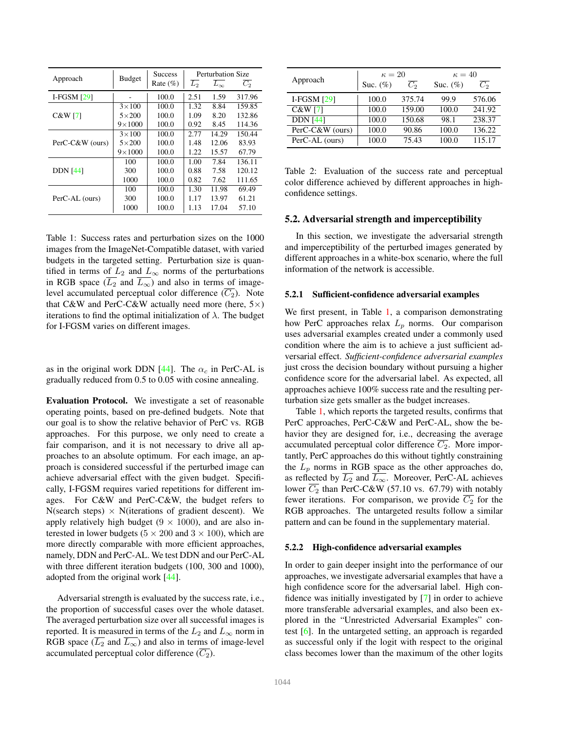| Approach        | <b>Budget</b>   | <b>Success</b><br>Rate $(\%)$ | L <sub>2</sub> | Perturbation Size<br>$L_{\infty}$ | $\overline{C}_2$ |
|-----------------|-----------------|-------------------------------|----------------|-----------------------------------|------------------|
| I-FGSM $[29]$   |                 | 100.0                         | 2.51           | 1.59                              | 317.96           |
|                 | $3\times100$    | 100.0                         | 1.32           | 8.84                              | 159.85           |
| C&W[7]          | $5\times200$    | 100.0                         | 1.09           | 8.20                              | 132.86           |
|                 | $9 \times 1000$ | 100.0                         | 0.92           | 8.45                              | 114.36           |
|                 | $3\times100$    | 100.0                         | 2.77           | 14.29                             | 150.44           |
| PerC-C&W (ours) | $5\times200$    | 100.0                         | 1.48           | 12.06                             | 83.93            |
|                 | $9 \times 1000$ | 100.0                         | 1.22           | 15.57                             | 67.79            |
|                 | 100             | 100.0                         | 1.00           | 7.84                              | 136.11           |
| <b>DDN</b> [44] | 300             | 100.0                         | 0.88           | 7.58                              | 120.12           |
|                 | 1000            | 100.0                         | 0.82           | 7.62                              | 111.65           |
|                 | 100             | 100.0                         | 1.30           | 11.98                             | 69.49            |
| PerC-AL (ours)  | 300             | 100.0                         | 1.17           | 13.97                             | 61.21            |
|                 | 1000            | 100.0                         | 1.13           | 17.04                             | 57.10            |

Table 1: Success rates and perturbation sizes on the 1000 images from the ImageNet-Compatible dataset, with varied budgets in the targeted setting. Perturbation size is quantified in terms of  $L_2$  and  $L_{\infty}$  norms of the perturbations in RGB space ( $\overline{L_2}$  and  $\overline{L_{\infty}}$ ) and also in terms of imagelevel accumulated perceptual color difference  $(\overline{C_2})$ . Note that C&W and PerC-C&W actually need more (here,  $5\times$ ) iterations to find the optimal initialization of  $\lambda$ . The budget for I-FGSM varies on different images.

as in the original work DDN [44]. The  $\alpha_c$  in PerC-AL is gradually reduced from 0.5 to 0.05 with cosine annealing.

Evaluation Protocol. We investigate a set of reasonable operating points, based on pre-defined budgets. Note that our goal is to show the relative behavior of PerC vs. RGB approaches. For this purpose, we only need to create a fair comparison, and it is not necessary to drive all approaches to an absolute optimum. For each image, an approach is considered successful if the perturbed image can achieve adversarial effect with the given budget. Specifically, I-FGSM requires varied repetitions for different images. For C&W and PerC-C&W, the budget refers to  $N$ (search steps)  $\times$  N(iterations of gradient descent). We apply relatively high budget  $(9 \times 1000)$ , and are also interested in lower budgets ( $5 \times 200$  and  $3 \times 100$ ), which are more directly comparable with more efficient approaches, namely, DDN and PerC-AL. We test DDN and our PerC-AL with three different iteration budgets (100, 300 and 1000), adopted from the original work [44].

Adversarial strength is evaluated by the success rate, i.e., the proportion of successful cases over the whole dataset. The averaged perturbation size over all successful images is reported. It is measured in terms of the  $L_2$  and  $L_{\infty}$  norm in RGB space ( $\overline{L_2}$  and  $\overline{L_{\infty}}$ ) and also in terms of image-level accumulated perceptual color difference  $(\overline{C_2})$ .

|                 | $\kappa=20$ |                  | $\kappa = 40$ |                  |  |
|-----------------|-------------|------------------|---------------|------------------|--|
| Approach        | Suc. $(\%)$ | $\overline{C_2}$ | Suc. $(\%)$   | $\overline{C_2}$ |  |
| I-FGSM $[29]$   | 100.0       | 375.74           | 99.9          | 576.06           |  |
| C&W[7]          | 100.0       | 159.00           | 100.0         | 241.92           |  |
| <b>DDN</b> [44] | 100.0       | 150.68           | 98.1          | 238.37           |  |
| PerC-C&W (ours) | 100.0       | 90.86            | 100.0         | 136.22           |  |
| PerC-AL (ours)  | 100.0       | 75.43            | 100.0         | 115.17           |  |

Table 2: Evaluation of the success rate and perceptual color difference achieved by different approaches in highconfidence settings.

## 5.2. Adversarial strength and imperceptibility

In this section, we investigate the adversarial strength and imperceptibility of the perturbed images generated by different approaches in a white-box scenario, where the full information of the network is accessible.

#### 5.2.1 Sufficient-confidence adversarial examples

We first present, in Table 1, a comparison demonstrating how PerC approaches relax  $L_p$  norms. Our comparison uses adversarial examples created under a commonly used condition where the aim is to achieve a just sufficient adversarial effect. *Sufficient-confidence adversarial examples* just cross the decision boundary without pursuing a higher confidence score for the adversarial label. As expected, all approaches achieve 100% success rate and the resulting perturbation size gets smaller as the budget increases.

Table 1, which reports the targeted results, confirms that PerC approaches, PerC-C&W and PerC-AL, show the behavior they are designed for, i.e., decreasing the average accumulated perceptual color difference  $\overline{C_2}$ . More importantly, PerC approaches do this without tightly constraining the  $L_p$  norms in RGB space as the other approaches do, as reflected by  $L_2$  and  $L_{\infty}$ . Moreover, PerC-AL achieves lower  $C_2$  than PerC-C&W (57.10 vs. 67.79) with notably fewer iterations. For comparison, we provide  $\overline{C_2}$  for the RGB approaches. The untargeted results follow a similar pattern and can be found in the supplementary material.

#### 5.2.2 High-confidence adversarial examples

In order to gain deeper insight into the performance of our approaches, we investigate adversarial examples that have a high confidence score for the adversarial label. High confidence was initially investigated by [7] in order to achieve more transferable adversarial examples, and also been explored in the "Unrestricted Adversarial Examples" contest [6]. In the untargeted setting, an approach is regarded as successful only if the logit with respect to the original class becomes lower than the maximum of the other logits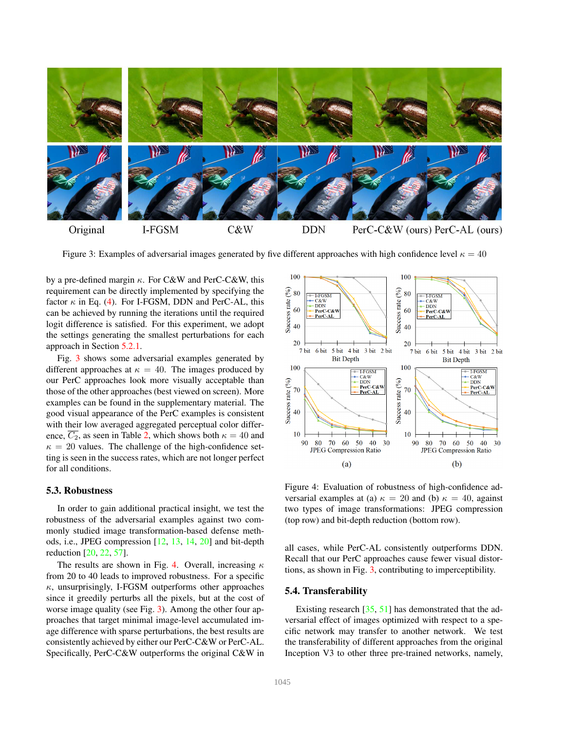

Figure 3: Examples of adversarial images generated by five different approaches with high confidence level  $\kappa = 40$ 

by a pre-defined margin  $\kappa$ . For C&W and PerC-C&W, this requirement can be directly implemented by specifying the factor  $\kappa$  in Eq. (4). For I-FGSM, DDN and PerC-AL, this can be achieved by running the iterations until the required logit difference is satisfied. For this experiment, we adopt the settings generating the smallest perturbations for each approach in Section 5.2.1.

Fig. 3 shows some adversarial examples generated by different approaches at  $\kappa = 40$ . The images produced by our PerC approaches look more visually acceptable than those of the other approaches (best viewed on screen). More examples can be found in the supplementary material. The good visual appearance of the PerC examples is consistent with their low averaged aggregated perceptual color difference,  $\overline{C_2}$ , as seen in Table 2, which shows both  $\kappa = 40$  and  $\kappa = 20$  values. The challenge of the high-confidence setting is seen in the success rates, which are not longer perfect for all conditions.

#### 5.3. Robustness

In order to gain additional practical insight, we test the robustness of the adversarial examples against two commonly studied image transformation-based defense methods, i.e., JPEG compression [12, 13, 14, 20] and bit-depth reduction [20, 22, 57].

The results are shown in Fig. 4. Overall, increasing  $\kappa$ from 20 to 40 leads to improved robustness. For a specific  $\kappa$ , unsurprisingly, I-FGSM outperforms other approaches since it greedily perturbs all the pixels, but at the cost of worse image quality (see Fig. 3). Among the other four approaches that target minimal image-level accumulated image difference with sparse perturbations, the best results are consistently achieved by either our PerC-C&W or PerC-AL. Specifically, PerC-C&W outperforms the original C&W in



Figure 4: Evaluation of robustness of high-confidence adversarial examples at (a)  $\kappa = 20$  and (b)  $\kappa = 40$ , against two types of image transformations: JPEG compression (top row) and bit-depth reduction (bottom row).

all cases, while PerC-AL consistently outperforms DDN. Recall that our PerC approaches cause fewer visual distortions, as shown in Fig. 3, contributing to imperceptibility.

## 5.4. Transferability

Existing research [35, 51] has demonstrated that the adversarial effect of images optimized with respect to a specific network may transfer to another network. We test the transferability of different approaches from the original Inception V3 to other three pre-trained networks, namely,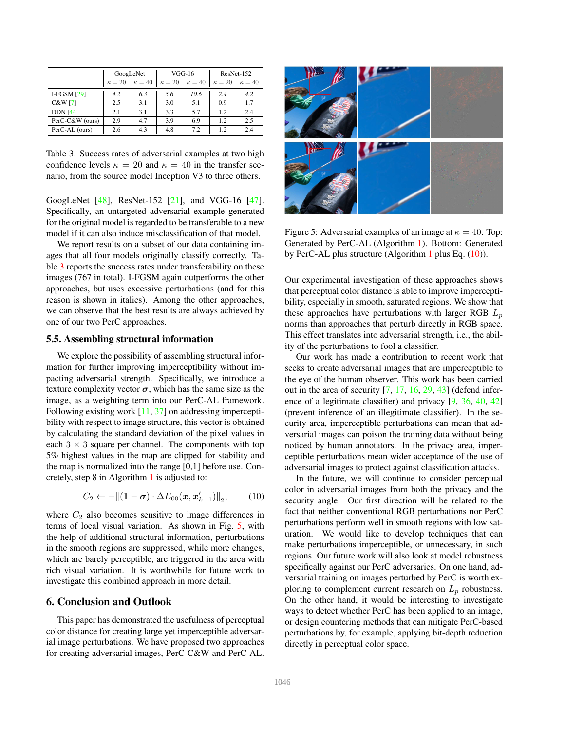|                    | GoogLeNet                   |     | $VGG-16$    |               | ResNet-152  |               |
|--------------------|-----------------------------|-----|-------------|---------------|-------------|---------------|
|                    | $\kappa = 20$ $\kappa = 40$ |     | $\kappa=20$ | $\kappa = 40$ | $\kappa=20$ | $\kappa = 40$ |
| <b>I-FGSM [29]</b> | 4.2                         | 6.3 | 5.6         | 10.6          | 2.4         | 4.2           |
| C&W[7]             | 2.5                         | 3.1 | 3.0         | 5.1           | 09          | 17            |
| <b>DDN</b> [44]    | 2.1                         | 3.1 | 3.3         | 5.7           | 1.2         | 2.4           |
| PerC-C&W (ours)    | 2.9                         | 4.7 | 3.9         | 6.9           | 1.2         | 2.5           |
| PerC-AL (ours)     | 2.6                         | 4.3 | 4.8         | 7.2           | 1.2         | 2.4           |

Table 3: Success rates of adversarial examples at two high confidence levels  $\kappa = 20$  and  $\kappa = 40$  in the transfer scenario, from the source model Inception V3 to three others.

GoogLeNet [48], ResNet-152 [21], and VGG-16 [47]. Specifically, an untargeted adversarial example generated for the original model is regarded to be transferable to a new model if it can also induce misclassification of that model.

We report results on a subset of our data containing images that all four models originally classify correctly. Table 3 reports the success rates under transferability on these images (767 in total). I-FGSM again outperforms the other approaches, but uses excessive perturbations (and for this reason is shown in italics). Among the other approaches, we can observe that the best results are always achieved by one of our two PerC approaches.

# 5.5. Assembling structural information

We explore the possibility of assembling structural information for further improving imperceptibility without impacting adversarial strength. Specifically, we introduce a texture complexity vector  $\sigma$ , which has the same size as the image, as a weighting term into our PerC-AL framework. Following existing work [11, 37] on addressing imperceptibility with respect to image structure, this vector is obtained by calculating the standard deviation of the pixel values in each  $3 \times 3$  square per channel. The components with top 5% highest values in the map are clipped for stability and the map is normalized into the range [0,1] before use. Concretely, step 8 in Algorithm 1 is adjusted to:

$$
C_2 \leftarrow -\left\|(\mathbf{1}-\boldsymbol{\sigma}) \cdot \Delta E_{00}(\boldsymbol{x}, \boldsymbol{x}_{k-1}')\right\|_2, \qquad (10)
$$

where  $C_2$  also becomes sensitive to image differences in terms of local visual variation. As shown in Fig. 5, with the help of additional structural information, perturbations in the smooth regions are suppressed, while more changes, which are barely perceptible, are triggered in the area with rich visual variation. It is worthwhile for future work to investigate this combined approach in more detail.

# 6. Conclusion and Outlook

This paper has demonstrated the usefulness of perceptual color distance for creating large yet imperceptible adversarial image perturbations. We have proposed two approaches for creating adversarial images, PerC-C&W and PerC-AL.



Figure 5: Adversarial examples of an image at  $\kappa = 40$ . Top: Generated by PerC-AL (Algorithm 1). Bottom: Generated by PerC-AL plus structure (Algorithm 1 plus Eq. (10)).

Our experimental investigation of these approaches shows that perceptual color distance is able to improve imperceptibility, especially in smooth, saturated regions. We show that these approaches have perturbations with larger RGB  $L_p$ norms than approaches that perturb directly in RGB space. This effect translates into adversarial strength, i.e., the ability of the perturbations to fool a classifier.

Our work has made a contribution to recent work that seeks to create adversarial images that are imperceptible to the eye of the human observer. This work has been carried out in the area of security  $[7, 17, 16, 29, 43]$  (defend inference of a legitimate classifier) and privacy [9, 36, 40, 42] (prevent inference of an illegitimate classifier). In the security area, imperceptible perturbations can mean that adversarial images can poison the training data without being noticed by human annotators. In the privacy area, imperceptible perturbations mean wider acceptance of the use of adversarial images to protect against classification attacks.

In the future, we will continue to consider perceptual color in adversarial images from both the privacy and the security angle. Our first direction will be related to the fact that neither conventional RGB perturbations nor PerC perturbations perform well in smooth regions with low saturation. We would like to develop techniques that can make perturbations imperceptible, or unnecessary, in such regions. Our future work will also look at model robustness specifically against our PerC adversaries. On one hand, adversarial training on images perturbed by PerC is worth exploring to complement current research on  $L_p$  robustness. On the other hand, it would be interesting to investigate ways to detect whether PerC has been applied to an image, or design countering methods that can mitigate PerC-based perturbations by, for example, applying bit-depth reduction directly in perceptual color space.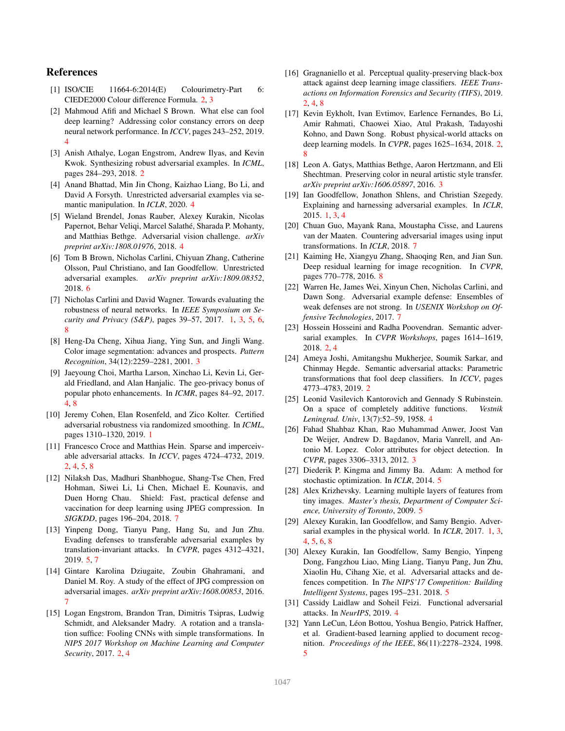## References

- [1] ISO/CIE 11664-6:2014(E) Colourimetry-Part 6: CIEDE2000 Colour difference Formula. 2, 3
- [2] Mahmoud Afifi and Michael S Brown. What else can fool deep learning? Addressing color constancy errors on deep neural network performance. In *ICCV*, pages 243–252, 2019. 4
- [3] Anish Athalye, Logan Engstrom, Andrew Ilyas, and Kevin Kwok. Synthesizing robust adversarial examples. In *ICML*, pages 284–293, 2018. 2
- [4] Anand Bhattad, Min Jin Chong, Kaizhao Liang, Bo Li, and David A Forsyth. Unrestricted adversarial examples via semantic manipulation. In *ICLR*, 2020. 4
- [5] Wieland Brendel, Jonas Rauber, Alexey Kurakin, Nicolas Papernot, Behar Veliqi, Marcel Salathé, Sharada P. Mohanty, and Matthias Bethge. Adversarial vision challenge. *arXiv preprint arXiv:1808.01976*, 2018. 4
- [6] Tom B Brown, Nicholas Carlini, Chiyuan Zhang, Catherine Olsson, Paul Christiano, and Ian Goodfellow. Unrestricted adversarial examples. *arXiv preprint arXiv:1809.08352*, 2018. 6
- [7] Nicholas Carlini and David Wagner. Towards evaluating the robustness of neural networks. In *IEEE Symposium on Security and Privacy (S&P)*, pages 39–57, 2017. 1, 3, 5, 6, 8
- [8] Heng-Da Cheng, Xihua Jiang, Ying Sun, and Jingli Wang. Color image segmentation: advances and prospects. *Pattern Recognition*, 34(12):2259–2281, 2001. 3
- [9] Jaeyoung Choi, Martha Larson, Xinchao Li, Kevin Li, Gerald Friedland, and Alan Hanjalic. The geo-privacy bonus of popular photo enhancements. In *ICMR*, pages 84–92, 2017. 4, 8
- [10] Jeremy Cohen, Elan Rosenfeld, and Zico Kolter. Certified adversarial robustness via randomized smoothing. In *ICML*, pages 1310–1320, 2019. 1
- [11] Francesco Croce and Matthias Hein. Sparse and imperceivable adversarial attacks. In *ICCV*, pages 4724–4732, 2019. 2, 4, 5, 8
- [12] Nilaksh Das, Madhuri Shanbhogue, Shang-Tse Chen, Fred Hohman, Siwei Li, Li Chen, Michael E. Kounavis, and Duen Horng Chau. Shield: Fast, practical defense and vaccination for deep learning using JPEG compression. In *SIGKDD*, pages 196–204, 2018. 7
- [13] Yinpeng Dong, Tianyu Pang, Hang Su, and Jun Zhu. Evading defenses to transferable adversarial examples by translation-invariant attacks. In *CVPR*, pages 4312–4321, 2019. 5, 7
- [14] Gintare Karolina Dziugaite, Zoubin Ghahramani, and Daniel M. Roy. A study of the effect of JPG compression on adversarial images. *arXiv preprint arXiv:1608.00853*, 2016. 7
- [15] Logan Engstrom, Brandon Tran, Dimitris Tsipras, Ludwig Schmidt, and Aleksander Madry. A rotation and a translation suffice: Fooling CNNs with simple transformations. In *NIPS 2017 Workshop on Machine Learning and Computer Security*, 2017. 2, 4
- [16] Gragnaniello et al. Perceptual quality-preserving black-box attack against deep learning image classifiers. *IEEE Transactions on Information Forensics and Security (TIFS)*, 2019. 2, 4, 8
- [17] Kevin Eykholt, Ivan Evtimov, Earlence Fernandes, Bo Li, Amir Rahmati, Chaowei Xiao, Atul Prakash, Tadayoshi Kohno, and Dawn Song. Robust physical-world attacks on deep learning models. In *CVPR*, pages 1625–1634, 2018. 2, 8
- [18] Leon A. Gatys, Matthias Bethge, Aaron Hertzmann, and Eli Shechtman. Preserving color in neural artistic style transfer. *arXiv preprint arXiv:1606.05897*, 2016. 3
- [19] Ian Goodfellow, Jonathon Shlens, and Christian Szegedy. Explaining and harnessing adversarial examples. In *ICLR*, 2015. 1, 3, 4
- [20] Chuan Guo, Mayank Rana, Moustapha Cisse, and Laurens van der Maaten. Countering adversarial images using input transformations. In *ICLR*, 2018. 7
- [21] Kaiming He, Xiangyu Zhang, Shaoqing Ren, and Jian Sun. Deep residual learning for image recognition. In *CVPR*, pages 770–778, 2016. 8
- [22] Warren He, James Wei, Xinyun Chen, Nicholas Carlini, and Dawn Song. Adversarial example defense: Ensembles of weak defenses are not strong. In *USENIX Workshop on Offensive Technologies*, 2017. 7
- [23] Hossein Hosseini and Radha Poovendran. Semantic adversarial examples. In *CVPR Workshops*, pages 1614–1619, 2018. 2, 4
- [24] Ameya Joshi, Amitangshu Mukherjee, Soumik Sarkar, and Chinmay Hegde. Semantic adversarial attacks: Parametric transformations that fool deep classifiers. In *ICCV*, pages 4773–4783, 2019. 2
- [25] Leonid Vasilevich Kantorovich and Gennady S Rubinstein. On a space of completely additive functions. *Vestnik Leningrad. Univ*, 13(7):52–59, 1958. 4
- [26] Fahad Shahbaz Khan, Rao Muhammad Anwer, Joost Van De Weijer, Andrew D. Bagdanov, Maria Vanrell, and Antonio M. Lopez. Color attributes for object detection. In *CVPR*, pages 3306–3313, 2012. 3
- [27] Diederik P. Kingma and Jimmy Ba. Adam: A method for stochastic optimization. In *ICLR*, 2014. 5
- [28] Alex Krizhevsky. Learning multiple layers of features from tiny images. *Master's thesis, Department of Computer Science, University of Toronto*, 2009. 5
- [29] Alexey Kurakin, Ian Goodfellow, and Samy Bengio. Adversarial examples in the physical world. In *ICLR*, 2017. 1, 3, 4, 5, 6, 8
- [30] Alexey Kurakin, Ian Goodfellow, Samy Bengio, Yinpeng Dong, Fangzhou Liao, Ming Liang, Tianyu Pang, Jun Zhu, Xiaolin Hu, Cihang Xie, et al. Adversarial attacks and defences competition. In *The NIPS'17 Competition: Building Intelligent Systems*, pages 195–231. 2018. 5
- [31] Cassidy Laidlaw and Soheil Feizi. Functional adversarial attacks. In *NeurIPS*, 2019. 4
- [32] Yann LeCun, Léon Bottou, Yoshua Bengio, Patrick Haffner, et al. Gradient-based learning applied to document recognition. *Proceedings of the IEEE*, 86(11):2278–2324, 1998. 5